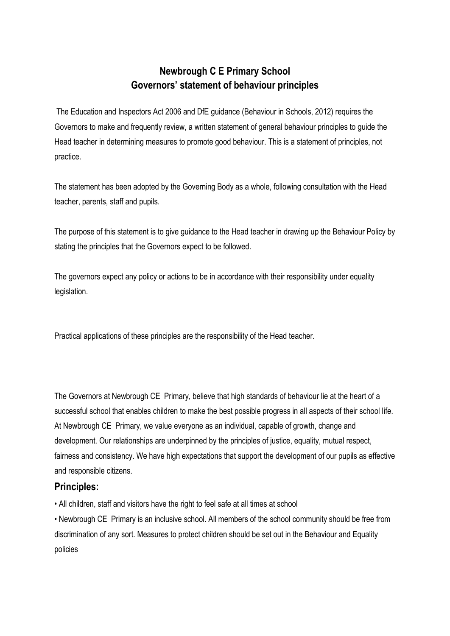## **Newbrough C E Primary School Governors' statement of behaviour principles**

The Education and Inspectors Act 2006 and DfE guidance (Behaviour in Schools, 2012) requires the Governors to make and frequently review, a written statement of general behaviour principles to guide the Head teacher in determining measures to promote good behaviour. This is a statement of principles, not practice.

The statement has been adopted by the Governing Body as a whole, following consultation with the Head teacher, parents, staff and pupils.

The purpose of this statement is to give guidance to the Head teacher in drawing up the Behaviour Policy by stating the principles that the Governors expect to be followed.

The governors expect any policy or actions to be in accordance with their responsibility under equality legislation.

Practical applications of these principles are the responsibility of the Head teacher.

The Governors at Newbrough CE Primary, believe that high standards of behaviour lie at the heart of a successful school that enables children to make the best possible progress in all aspects of their school life. At Newbrough CE Primary, we value everyone as an individual, capable of growth, change and development. Our relationships are underpinned by the principles of justice, equality, mutual respect, fairness and consistency. We have high expectations that support the development of our pupils as effective and responsible citizens.

## **Principles:**

• All children, staff and visitors have the right to feel safe at all times at school

• Newbrough CE Primary is an inclusive school. All members of the school community should be free from discrimination of any sort. Measures to protect children should be set out in the Behaviour and Equality policies